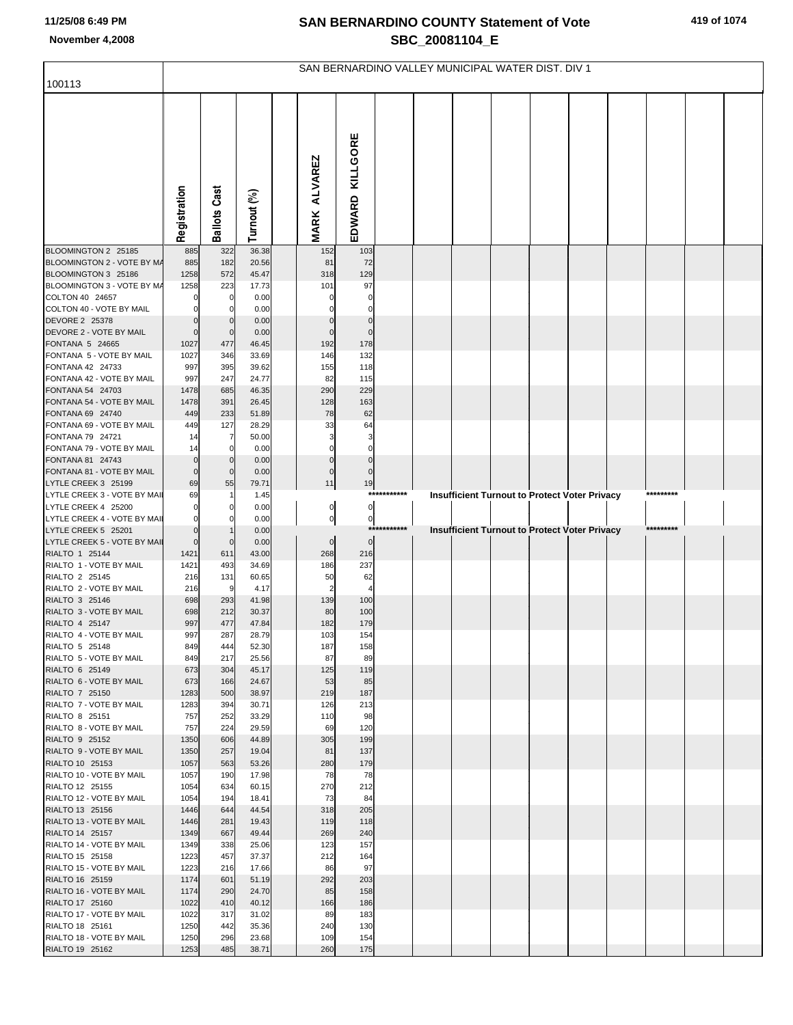## **SAN BERNARDINO COUNTY Statement of Vote November 4,2008 SBC\_20081104\_E**

|                                                     | SAN BERNARDINO VALLEY MUNICIPAL WATER DIST. DIV 1 |                     |                |  |                               |                        |             |  |  |  |  |                                               |  |           |  |
|-----------------------------------------------------|---------------------------------------------------|---------------------|----------------|--|-------------------------------|------------------------|-------------|--|--|--|--|-----------------------------------------------|--|-----------|--|
| 100113                                              |                                                   |                     |                |  |                               |                        |             |  |  |  |  |                                               |  |           |  |
|                                                     | Registration                                      | <b>Ballots Cast</b> | Turnout (%)    |  | <b>ALVAREZ</b><br><b>MARK</b> | EDWARD KILLGORE        |             |  |  |  |  |                                               |  |           |  |
| BLOOMINGTON 2 25185                                 | 885                                               | 322                 | 36.38          |  | 152                           | 103                    |             |  |  |  |  |                                               |  |           |  |
| BLOOMINGTON 2 - VOTE BY MA                          | 885                                               | 182                 | 20.56          |  | 81                            | 72                     |             |  |  |  |  |                                               |  |           |  |
| BLOOMINGTON 3 25186                                 | 1258                                              | 572                 | 45.47          |  | 318                           | 129                    |             |  |  |  |  |                                               |  |           |  |
| BLOOMINGTON 3 - VOTE BY M/<br>COLTON 40 24657       | 1258                                              | 223<br>0            | 17.73<br>0.00  |  | 101                           | 97                     |             |  |  |  |  |                                               |  |           |  |
| COLTON 40 - VOTE BY MAIL                            |                                                   | 0                   | 0.00           |  |                               | 0                      |             |  |  |  |  |                                               |  |           |  |
| DEVORE 2 25378                                      |                                                   | $\Omega$            | 0.00           |  | $\Omega$                      | $\mathbf 0$            |             |  |  |  |  |                                               |  |           |  |
| DEVORE 2 - VOTE BY MAIL                             | $\mathbf 0$                                       | $\mathbf 0$         | 0.00           |  | 0                             | $\mathbf 0$            |             |  |  |  |  |                                               |  |           |  |
| FONTANA 5 24665                                     | 1027                                              | 477                 | 46.45          |  | 192                           | 178                    |             |  |  |  |  |                                               |  |           |  |
| FONTANA 5 - VOTE BY MAIL<br>FONTANA 42 24733        | 1027<br>997                                       | 346<br>395          | 33.69<br>39.62 |  | 146                           | 132<br>118             |             |  |  |  |  |                                               |  |           |  |
| FONTANA 42 - VOTE BY MAIL                           | 997                                               | 247                 | 24.77          |  | 155<br>82                     | 115                    |             |  |  |  |  |                                               |  |           |  |
| FONTANA 54 24703                                    | 1478                                              | 685                 | 46.35          |  | 290                           | 229                    |             |  |  |  |  |                                               |  |           |  |
| FONTANA 54 - VOTE BY MAIL                           | 1478                                              | 391                 | 26.45          |  | 128                           | 163                    |             |  |  |  |  |                                               |  |           |  |
| FONTANA 69 24740                                    | 449                                               | 233                 | 51.89          |  | 78                            | 62                     |             |  |  |  |  |                                               |  |           |  |
| FONTANA 69 - VOTE BY MAIL                           | 449                                               | 127                 | 28.29          |  | 33                            | 64                     |             |  |  |  |  |                                               |  |           |  |
| FONTANA 79 24721<br>FONTANA 79 - VOTE BY MAIL       | 14<br>14                                          | 7<br>0              | 50.00<br>0.00  |  | 0                             | 0                      |             |  |  |  |  |                                               |  |           |  |
| FONTANA 81 24743                                    | $\Omega$                                          | $\mathbf 0$         | 0.00           |  | $\mathbf{0}$                  | $\mathbf{0}$           |             |  |  |  |  |                                               |  |           |  |
| FONTANA 81 - VOTE BY MAIL                           | $\mathbf 0$                                       | $\mathbf 0$         | 0.00           |  | $\mathbf{0}$                  | 0                      |             |  |  |  |  |                                               |  |           |  |
| LYTLE CREEK 3 25199                                 | 69                                                | 55                  | 79.71          |  | 11                            | 19                     |             |  |  |  |  |                                               |  |           |  |
| LYTLE CREEK 3 - VOTE BY MAII                        | 69                                                |                     | 1.45           |  |                               |                        | *********** |  |  |  |  | Insufficient Turnout to Protect Voter Privacy |  |           |  |
| LYTLE CREEK 4 25200                                 |                                                   | 0                   | 0.00           |  | $\overline{0}$                | $\overline{0}$         |             |  |  |  |  |                                               |  |           |  |
| LYTLE CREEK 4 - VOTE BY MAII<br>LYTLE CREEK 5 25201 | $\Omega$                                          |                     | 0.00<br>0.00   |  | $\overline{0}$                | $\overline{0}$<br>**** | ******      |  |  |  |  | Insufficient Turnout to Protect Voter Privacy |  | ********* |  |
| LYTLE CREEK 5 - VOTE BY MAII                        | $\mathbf 0$                                       | $\mathbf 0$         | 0.00           |  | $\overline{0}$                | $\mathbf 0$            |             |  |  |  |  |                                               |  |           |  |
| RIALTO 1 25144                                      | 1421                                              | 611                 | 43.00          |  | 268                           | 216                    |             |  |  |  |  |                                               |  |           |  |
| RIALTO 1 - VOTE BY MAIL                             | 1421                                              | 493                 | 34.69          |  | 186                           | 237                    |             |  |  |  |  |                                               |  |           |  |
| RIALTO 2 25145                                      | 216                                               | 131                 | 60.65          |  | 50                            | 62                     |             |  |  |  |  |                                               |  |           |  |
| RIALTO 2 - VOTE BY MAIL<br>RIALTO 3 25146           | 216<br>698                                        | 9<br>293            | 4.17<br>41.98  |  | 139                           | 100                    |             |  |  |  |  |                                               |  |           |  |
| RIALTO 3 - VOTE BY MAIL                             | 698                                               | 212                 | 30.37          |  | 80                            | 100                    |             |  |  |  |  |                                               |  |           |  |
| RIALTO 4 25147                                      | 997                                               | 477                 | 47.84          |  | 182                           | 179                    |             |  |  |  |  |                                               |  |           |  |
| RIALTO 4 - VOTE BY MAIL                             | 997                                               | 287                 | 28.79          |  | 103                           | 154                    |             |  |  |  |  |                                               |  |           |  |
| RIALTO 5 25148                                      | 849                                               | 444                 | 52.30          |  | 187                           | 158                    |             |  |  |  |  |                                               |  |           |  |
| RIALTO 5 - VOTE BY MAIL<br>RIALTO 6 25149           | 849                                               | 217                 | 25.56          |  | 87                            | 89                     |             |  |  |  |  |                                               |  |           |  |
| RIALTO 6 - VOTE BY MAIL                             | 673<br>673                                        | 304<br>166          | 45.17<br>24.67 |  | 125<br>53                     | 119<br>85              |             |  |  |  |  |                                               |  |           |  |
| RIALTO 7 25150                                      | 1283                                              | 500                 | 38.97          |  | 219                           | 187                    |             |  |  |  |  |                                               |  |           |  |
| RIALTO 7 - VOTE BY MAIL                             | 1283                                              | 394                 | 30.71          |  | 126                           | 213                    |             |  |  |  |  |                                               |  |           |  |
| RIALTO 8 25151                                      | 757                                               | 252                 | 33.29          |  | 110                           | 98                     |             |  |  |  |  |                                               |  |           |  |
| RIALTO 8 - VOTE BY MAIL<br>RIALTO 9 25152           | 757<br>1350                                       | 224<br>606          | 29.59<br>44.89 |  | 69<br>305                     | 120<br>199             |             |  |  |  |  |                                               |  |           |  |
| RIALTO 9 - VOTE BY MAIL                             | 1350                                              | 257                 | 19.04          |  | 81                            | 137                    |             |  |  |  |  |                                               |  |           |  |
| RIALTO 10 25153                                     | 1057                                              | 563                 | 53.26          |  | 280                           | 179                    |             |  |  |  |  |                                               |  |           |  |
| RIALTO 10 - VOTE BY MAIL                            | 1057                                              | 190                 | 17.98          |  | 78                            | 78                     |             |  |  |  |  |                                               |  |           |  |
| RIALTO 12 25155                                     | 1054                                              | 634                 | 60.15          |  | 270                           | 212                    |             |  |  |  |  |                                               |  |           |  |
| RIALTO 12 - VOTE BY MAIL<br>RIALTO 13 25156         | 1054<br>1446                                      | 194<br>644          | 18.41<br>44.54 |  | 73<br>318                     | 84<br>205              |             |  |  |  |  |                                               |  |           |  |
| RIALTO 13 - VOTE BY MAIL                            | 1446                                              | 281                 | 19.43          |  | 119                           | 118                    |             |  |  |  |  |                                               |  |           |  |
| RIALTO 14 25157                                     | 1349                                              | 667                 | 49.44          |  | 269                           | 240                    |             |  |  |  |  |                                               |  |           |  |
| RIALTO 14 - VOTE BY MAIL                            | 1349                                              | 338                 | 25.06          |  | 123                           | 157                    |             |  |  |  |  |                                               |  |           |  |
| RIALTO 15 25158                                     | 1223                                              | 457                 | 37.37          |  | 212                           | 164                    |             |  |  |  |  |                                               |  |           |  |
| RIALTO 15 - VOTE BY MAIL                            | 1223                                              | 216                 | 17.66          |  | 86                            | 97                     |             |  |  |  |  |                                               |  |           |  |
| RIALTO 16 25159<br>RIALTO 16 - VOTE BY MAIL         | 1174<br>1174                                      | 601<br>290          | 51.19<br>24.70 |  | 292<br>85                     | 203<br>158             |             |  |  |  |  |                                               |  |           |  |
| RIALTO 17 25160                                     | 1022                                              | 410                 | 40.12          |  | 166                           | 186                    |             |  |  |  |  |                                               |  |           |  |
| RIALTO 17 - VOTE BY MAIL                            | 1022                                              | 317                 | 31.02          |  | 89                            | 183                    |             |  |  |  |  |                                               |  |           |  |
| RIALTO 18 25161                                     | 1250                                              | 442                 | 35.36          |  | 240                           | 130                    |             |  |  |  |  |                                               |  |           |  |
| RIALTO 18 - VOTE BY MAIL                            | 1250                                              | 296                 | 23.68          |  | 109                           | 154                    |             |  |  |  |  |                                               |  |           |  |
| RIALTO 19 25162                                     | 1253                                              | 485                 | 38.71          |  | 260                           | 175                    |             |  |  |  |  |                                               |  |           |  |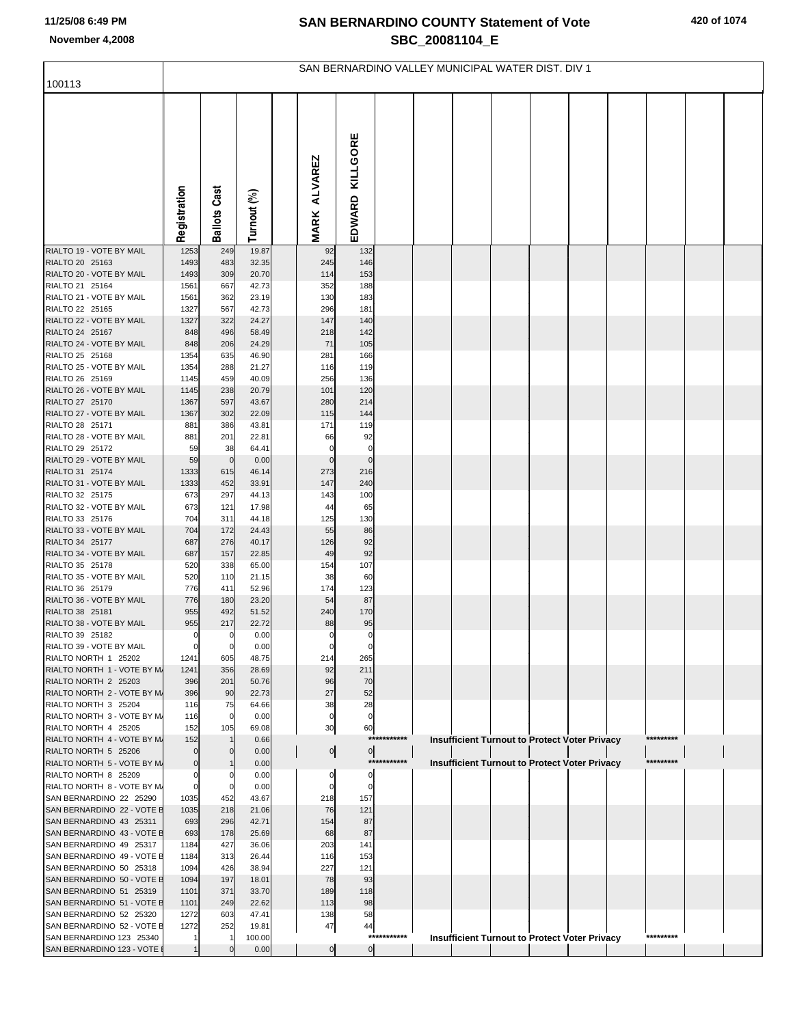## **SAN BERNARDINO COUNTY Statement of Vote November 4,2008 SBC\_20081104\_E**

|                                                        | SAN BERNARDINO VALLEY MUNICIPAL WATER DIST. DIV 1 |                     |                 |  |                               |                   |             |  |  |  |  |                                                      |  |           |  |
|--------------------------------------------------------|---------------------------------------------------|---------------------|-----------------|--|-------------------------------|-------------------|-------------|--|--|--|--|------------------------------------------------------|--|-----------|--|
| 100113                                                 |                                                   |                     |                 |  |                               |                   |             |  |  |  |  |                                                      |  |           |  |
|                                                        | Registration                                      | <b>Ballots Cast</b> | Turnout (%)     |  | <b>ALVAREZ</b><br><b>MARK</b> | EDWARD KILLGORE   |             |  |  |  |  |                                                      |  |           |  |
| RIALTO 19 - VOTE BY MAIL                               | 1253                                              | 249                 | 19.87           |  | 92                            | 132               |             |  |  |  |  |                                                      |  |           |  |
| RIALTO 20 25163<br>RIALTO 20 - VOTE BY MAIL            | 1493<br>1493                                      | 483<br>309          | 32.35<br>20.70  |  | 245                           | 146<br>153        |             |  |  |  |  |                                                      |  |           |  |
| RIALTO 21 25164                                        | 1561                                              | 667                 | 42.73           |  | 114<br>352                    | 188               |             |  |  |  |  |                                                      |  |           |  |
| RIALTO 21 - VOTE BY MAIL                               | 1561                                              | 362                 | 23.19           |  | 130                           | 183               |             |  |  |  |  |                                                      |  |           |  |
| RIALTO 22 25165                                        | 1327                                              | 567                 | 42.73           |  | 296                           | 181               |             |  |  |  |  |                                                      |  |           |  |
| RIALTO 22 - VOTE BY MAIL                               | 1327                                              | 322                 | 24.27           |  | 147                           | 140               |             |  |  |  |  |                                                      |  |           |  |
| RIALTO 24 25167                                        | 848                                               | 496                 | 58.49           |  | 218                           | 142               |             |  |  |  |  |                                                      |  |           |  |
| RIALTO 24 - VOTE BY MAIL                               | 848                                               | 206                 | 24.29           |  | 71                            | 105               |             |  |  |  |  |                                                      |  |           |  |
| RIALTO 25 25168<br>RIALTO 25 - VOTE BY MAIL            | 1354<br>1354                                      | 635<br>288          | 46.90<br>21.27  |  | 281<br>116                    | 166<br>119        |             |  |  |  |  |                                                      |  |           |  |
| RIALTO 26 25169                                        | 1145                                              | 459                 | 40.09           |  | 256                           | 136               |             |  |  |  |  |                                                      |  |           |  |
| RIALTO 26 - VOTE BY MAIL                               | 1145                                              | 238                 | 20.79           |  | 101                           | 120               |             |  |  |  |  |                                                      |  |           |  |
| RIALTO 27 25170                                        | 1367                                              | 597                 | 43.67           |  | 280                           | 214               |             |  |  |  |  |                                                      |  |           |  |
| RIALTO 27 - VOTE BY MAIL                               | 1367                                              | 302                 | 22.09           |  | 115                           | 144               |             |  |  |  |  |                                                      |  |           |  |
| RIALTO 28 25171                                        | 881                                               | 386                 | 43.81           |  | 171                           | 119               |             |  |  |  |  |                                                      |  |           |  |
| RIALTO 28 - VOTE BY MAIL                               | 881                                               | 201                 | 22.81           |  | 66                            | 92                |             |  |  |  |  |                                                      |  |           |  |
| RIALTO 29 25172<br>RIALTO 29 - VOTE BY MAIL            | 59<br>59                                          | 38<br>$\mathbf 0$   | 64.41<br>0.00   |  | 0<br>$\mathbf 0$              | 0<br>$\mathbf{0}$ |             |  |  |  |  |                                                      |  |           |  |
| RIALTO 31 25174                                        | 1333                                              | 615                 | 46.14           |  | 273                           | 216               |             |  |  |  |  |                                                      |  |           |  |
| RIALTO 31 - VOTE BY MAIL                               | 1333                                              | 452                 | 33.91           |  | 147                           | 240               |             |  |  |  |  |                                                      |  |           |  |
| RIALTO 32 25175                                        | 673                                               | 297                 | 44.13           |  | 143                           | 100               |             |  |  |  |  |                                                      |  |           |  |
| RIALTO 32 - VOTE BY MAIL                               | 673                                               | 121                 | 17.98           |  | 44                            | 65                |             |  |  |  |  |                                                      |  |           |  |
| RIALTO 33 25176                                        | 704                                               | 311                 | 44.18           |  | 125                           | 130               |             |  |  |  |  |                                                      |  |           |  |
| RIALTO 33 - VOTE BY MAIL<br>RIALTO 34 25177            | 704<br>687                                        | 172<br>276          | 24.43<br>40.17  |  | 55<br>126                     | 86<br>92          |             |  |  |  |  |                                                      |  |           |  |
| RIALTO 34 - VOTE BY MAIL                               | 687                                               | 157                 | 22.85           |  | 49                            | 92                |             |  |  |  |  |                                                      |  |           |  |
| RIALTO 35 25178                                        | 520                                               | 338                 | 65.00           |  | 154                           | 107               |             |  |  |  |  |                                                      |  |           |  |
| RIALTO 35 - VOTE BY MAIL                               | 520                                               | 110                 | 21.15           |  | 38                            | 60                |             |  |  |  |  |                                                      |  |           |  |
| RIALTO 36 25179                                        | 776                                               | 411                 | 52.96           |  | 174                           | 123               |             |  |  |  |  |                                                      |  |           |  |
| RIALTO 36 - VOTE BY MAIL                               | 776                                               | 180                 | 23.20           |  | 54                            | 87                |             |  |  |  |  |                                                      |  |           |  |
| RIALTO 38 25181<br>RIALTO 38 - VOTE BY MAIL            | 955<br>955                                        | 492<br>217          | 51.52<br>22.72  |  | 240<br>88                     | 170<br>95         |             |  |  |  |  |                                                      |  |           |  |
| RIALTO 39 25182                                        | $\mathbf 0$                                       | $\mathbf 0$         | 0.00            |  | $\mathbf 0$                   | $\overline{0}$    |             |  |  |  |  |                                                      |  |           |  |
| RIALTO 39 - VOTE BY MAIL                               | $\mathbf 0$                                       | 0                   | 0.00            |  | 0                             | 0                 |             |  |  |  |  |                                                      |  |           |  |
| RIALTO NORTH 1 25202                                   | 1241                                              | 605                 | 48.75           |  | 214                           | 265               |             |  |  |  |  |                                                      |  |           |  |
| RIALTO NORTH 1 - VOTE BY M.                            | 1241                                              | 356                 | 28.69           |  | 92                            | 211               |             |  |  |  |  |                                                      |  |           |  |
| RIALTO NORTH 2 25203<br>RIALTO NORTH 2 - VOTE BY M.    | 396<br>396                                        | 201<br>90           | 50.76<br>22.73  |  | 96<br>27                      | 70<br>52          |             |  |  |  |  |                                                      |  |           |  |
| RIALTO NORTH 3 25204                                   | 116                                               | 75                  | 64.66           |  | 38                            | 28                |             |  |  |  |  |                                                      |  |           |  |
| RIALTO NORTH 3 - VOTE BY M.                            | 116                                               | 0                   | 0.00            |  | 0                             | $\mathbf 0$       |             |  |  |  |  |                                                      |  |           |  |
| RIALTO NORTH 4 25205                                   | 152                                               | 105                 | 69.08           |  | 30                            | 60                |             |  |  |  |  |                                                      |  |           |  |
| RIALTO NORTH 4 - VOTE BY M.                            | 152                                               |                     | 0.66            |  |                               |                   | *********** |  |  |  |  | <b>Insufficient Turnout to Protect Voter Privacy</b> |  | ********* |  |
| RIALTO NORTH 5 25206                                   | $\Omega$                                          | 0                   | 0.00            |  | 이                             | $\overline{0}$    | *********** |  |  |  |  |                                                      |  | ********* |  |
| RIALTO NORTH 5 - VOTE BY M.<br>RIALTO NORTH 8 25209    | $\mathbf 0$<br>0                                  | 0                   | 0.00<br>0.00    |  | 0                             | 0                 |             |  |  |  |  | <b>Insufficient Turnout to Protect Voter Privacy</b> |  |           |  |
| RIALTO NORTH 8 - VOTE BY M.                            | $\mathbf 0$                                       | 0                   | 0.00            |  | 0                             | 0                 |             |  |  |  |  |                                                      |  |           |  |
| SAN BERNARDINO 22 25290                                | 1035                                              | 452                 | 43.67           |  | 218                           | 157               |             |  |  |  |  |                                                      |  |           |  |
| SAN BERNARDINO 22 - VOTE E                             | 1035                                              | 218                 | 21.06           |  | 76                            | 121               |             |  |  |  |  |                                                      |  |           |  |
| SAN BERNARDINO 43 25311                                | 693                                               | 296                 | 42.71           |  | 154                           | 87                |             |  |  |  |  |                                                      |  |           |  |
| SAN BERNARDINO 43 - VOTE E                             | 693                                               | 178                 | 25.69           |  | 68                            | 87                |             |  |  |  |  |                                                      |  |           |  |
| SAN BERNARDINO 49 25317<br>SAN BERNARDINO 49 - VOTE E  | 1184<br>1184                                      | 427<br>313          | 36.06<br>26.44  |  | 203<br>116                    | 141<br>153        |             |  |  |  |  |                                                      |  |           |  |
| SAN BERNARDINO 50 25318                                | 1094                                              | 426                 | 38.94           |  | 227                           | 121               |             |  |  |  |  |                                                      |  |           |  |
| SAN BERNARDINO 50 - VOTE E                             | 1094                                              | 197                 | 18.01           |  | 78                            | 93                |             |  |  |  |  |                                                      |  |           |  |
| SAN BERNARDINO 51 25319                                | 1101                                              | 371                 | 33.70           |  | 189                           | 118               |             |  |  |  |  |                                                      |  |           |  |
| SAN BERNARDINO 51 - VOTE E                             | 1101                                              | 249                 | 22.62           |  | 113                           | 98                |             |  |  |  |  |                                                      |  |           |  |
| SAN BERNARDINO 52 25320                                | 1272                                              | 603                 | 47.41           |  | 138                           | 58                |             |  |  |  |  |                                                      |  |           |  |
| SAN BERNARDINO 52 - VOTE E<br>SAN BERNARDINO 123 25340 | 1272                                              | 252<br>-1           | 19.81<br>100.00 |  | 47                            | 44                | *********** |  |  |  |  | Insufficient Turnout to Protect Voter Privacy        |  | ********* |  |
| SAN BERNARDINO 123 - VOTE                              |                                                   | $\mathbf 0$         | 0.00            |  | $\overline{0}$                | $\overline{0}$    |             |  |  |  |  |                                                      |  |           |  |